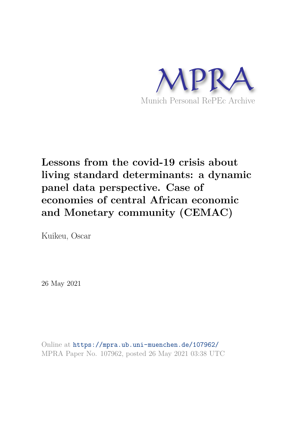

# **Lessons from the covid-19 crisis about living standard determinants: a dynamic panel data perspective. Case of economies of central African economic and Monetary community (CEMAC)**

Kuikeu, Oscar

26 May 2021

Online at https://mpra.ub.uni-muenchen.de/107962/ MPRA Paper No. 107962, posted 26 May 2021 03:38 UTC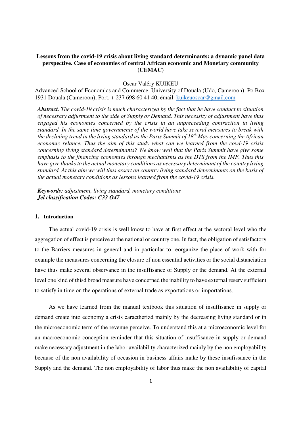# **Lessons from the covid-19 crisis about living standard determinants: a dynamic panel data perspective. Case of economies of central African economic and Monetary community (CEMAC)**

Oscar Valéry KUIKEU

Advanced School of Economics and Commerce, University of Douala (Udo, Cameroon), Po Box 1931 Douala (Cameroon), Port. + 237 698 60 41 40, émail: kuikeuoscar@gmail.com

*Abstract. The covid-19 crisis is much characterized by the fact that he have conduct to situation of necessary adjustment to the side of Supply or Demand. This necessity of adjustment have thus engaged his economies concerned by the crisis in an unpreceeding contraction in living standard. In the same time governments of the world have take several measures to break with the declining trend in the living standard as the Paris Summit of 18th May concerning the African economic relance. Thus the aim of this study what can we learned from the covd-19 crisis concerning living standard determinants? We know well that the Paris Summit have give some emphasis to the financing economies through mechanisms as the DTS from the IMF. Thus this have give thanks to the actual monetary conditions as necessary determinant of the country living standard. At this aim we will thus assert on country living standard determinants on the basis of the actual monetary conditions as lessons learned from the covid-19 crisis.* 

*Keywords: adjustment, living standard, monetary conditions Jel classification Codes: C33 O47* 

## **1. Introduction**

The actual covid-19 crisis is well know to have at first effect at the sectoral level who the aggregation of effect is perceive at the national or country one. In fact, the obligation of satisfactory to the Barriers measures in general and in particular to reorganize the place of work with for example the meausures concerning the closure of non essential activities or the social distanciation have thus make several observance in the insuffisance of Supply or the demand. At the external level one kind of thisd broad measure have concerned the inability to have external reserv sufficient to satisfy in time on the operations of external trade as exportations or importations.

As we have learned from the manual textbook this situation of insuffisance in supply or demand create into economy a crisis caractherizd mainly by the decreasing living standard or in the microeconomic term of the revenue perceive. To understand this at a microeconomic level for an macroeconomic conception reminder that this situation of insuffisance in supply or demand make necessary adjustment in the labor availability characterized mainly by the non employability because of the non availability of occasion in business affairs make by these insufissance in the Supply and the demand. The non employability of labor thus make the non availability of capital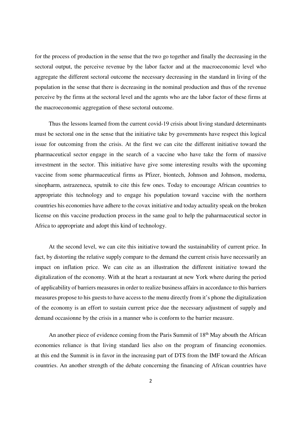for the process of production in the sense that the two go together and finally the decreasing in the sectoral output, the perceive revenue by the labor factor and at the macroeconomic level who aggregate the different sectoral outcome the necessary decreasing in the standard in living of the population in the sense that there is decreasing in the nominal production and thus of the revenue perceive by the firms at the sectoral level and the agents who are the labor factor of these firms at the macroeconomic aggregation of these sectoral outcome.

Thus the lessons learned from the current covid-19 crisis about living standard determinants must be sectoral one in the sense that the initiative take by governments have respect this logical issue for outcoming from the crisis. At the first we can cite the different initiative toward the pharmaceutical sector engage in the search of a vaccine who have take the form of massive investment in the sector. This initiative have give some interesting results with the upcoming vaccine from some pharmaceutical firms as Pfizer, biontech, Johnson and Johnson, moderna, sinopharm, astrazeneca, sputnik to cite this few ones. Today to encourage African countries to appropriate this technology and to engage his population toward vaccine with the northern countries his economies have adhere to the covax initiative and today actuality speak on the broken license on this vaccine production process in the same goal to help the paharmaceutical sector in Africa to appropriate and adopt this kind of technology.

At the second level, we can cite this initiative toward the sustainability of current price. In fact, by distorting the relative supply compare to the demand the current crisis have necessarily an impact on inflation price. We can cite as an illustration the different initiative toward the digitalization of the economy. With at the heart a restaurant at new York where during the period of applicability of barriers measures in order to realize business affairs in accordance to this barriers measures propose to his guests to have access to the menu directly from it's phone the digitalization of the economy is an effort to sustain current price due the necessary adjustment of supply and demand occasionne by the crisis in a manner who is conform to the barrier measure.

An another piece of evidence coming from the Paris Summit of 18<sup>th</sup> May abouth the African economies reliance is that living standard lies also on the program of financing economies. at this end the Summit is in favor in the increasing part of DTS from the IMF toward the African countries. An another strength of the debate concerning the financing of African countries have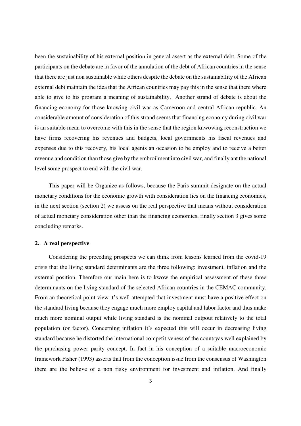been the sustainability of his external position in general assert as the external debt. Some of the participants on the debate are in favor of the annulation of the debt of African countries in the sense that there are just non sustainable while others despite the debate on the sustainability of the African external debt maintain the idea that the African countries may pay this in the sense that there where able to give to his program a meaning of sustainability. Another strand of debate is about the financing economy for those knowing civil war as Cameroon and central African republic. An considerable amount of consideration of this strand seems that financing economy during civil war is an suitable mean to overcome with this in the sense that the region knwowing reconstruction we have firms recovering his revenues and budgets, local governments his fiscal revenues and expenses due to this recovery, his local agents an occasion to be employ and to receive a better revenue and condition than those give by the embroilment into civil war, and finally ant the national level some prospect to end with the civil war.

This paper will be Organize as follows, because the Paris summit designate on the actual monetary conditions for the economic growth with consideration lies on the financing economies, in the next section (section 2) we assess on the real perspective that means without consideration of actual monetary consideration other than the financing economies, finally section 3 gives some concluding remarks.

### **2. A real perspective**

Considering the preceding prospects we can think from lessons learned from the covid-19 crisis that the living standard determinants are the three following: investment, inflation and the external position. Therefore our main here is to kwow the empirical assessment of these three determinants on the living standard of the selected African countries in the CEMAC community. From an theoretical point view it's well attempted that investment must have a positive effect on the standard living because they engage much more employ capital and labor factor and thus make much more nominal output while living standard is the nominal outpout relatively to the total population (or factor). Concerning inflation it's expected this will occur in decreasing living standard because he distorted the international competitiveness of the countryas well explained by the purchasing power parity concept. In fact in his conception of a suitable macroeconomic framework Fisher (1993) asserts that from the conception issue from the consensus of Washington there are the believe of a non risky environment for investment and inflation. And finally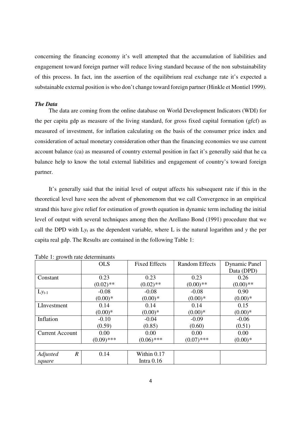concerning the financing economy it's well attempted that the accumulation of liabilities and engagement toward foreign partner will reduce living standard because of the non substainability of this process. In fact, inn the assertion of the equilibrium real exchange rate it's expected a substainable external position is who don't change toward foreign partner (Hinkle et Montiel 1999).

#### *The Data*

The data are coming from the online database on World Development Indicators (WDI) for the per capita gdp as measure of the living standard, for gross fixed capital formation (gfcf) as measured of investment, for inflation calculating on the basis of the consumer price index and consideration of actual monetary consideration other than the financing economies we use current account balance (ca) as measured of country external position in fact it's generally said that he ca balance help to know the total external liabilities and engagement of country's toward foreign partner.

It's generally said that the initial level of output affects his subsequent rate if this in the theoretical level have seen the advent of phenomenom that we call Convergence in an empirical strand this have give relief for estimation of growth equation in dynamic term including the initial level of output with several techniques among then the Arellano Bond (1991) procedure that we call the DPD with L*y*t as the dependent variable, where L is the natural logarithm and *y* the per capita real gdp. The Results are contained in the following Table 1:

|                              | <b>OLS</b>   | <b>Fixed Effects</b> | <b>Random Effects</b> | <b>Dynamic Panel</b> |
|------------------------------|--------------|----------------------|-----------------------|----------------------|
|                              |              |                      |                       | Data (DPD)           |
| Constant                     | 0.23         | 0.23                 | 0.23                  | 0.26                 |
|                              | $(0.02)$ **  | $(0.02)$ **          | $(0.00)**$            | $(0.00)**$           |
| $Ly_{t-1}$                   | $-0.08$      | $-0.08$              | $-0.08$               | 0.90                 |
|                              | $(0.00)*$    | $(0.00)*$            | $(0.00)*$             | $(0.00)*$            |
| LInvestment                  | 0.14         | 0.14                 | 0.14                  | 0.15                 |
|                              | $(0.00)*$    | $(0.00)*$            | $(0.00)*$             | $(0.00)*$            |
| Inflation                    | $-0.10$      | $-0.04$              | $-0.09$               | $-0.06$              |
|                              | (0.59)       | (0.85)               | (0.60)                | (0.51)               |
| <b>Current Account</b>       | 0.00         | 0.00                 | 0.00                  | 0.00                 |
|                              | $(0.09)$ *** | $(0.06)$ ***         | $(0.07)$ ***          | $(0.00)*$            |
|                              |              |                      |                       |                      |
| $\boldsymbol{R}$<br>Adjusted | 0.14         | Within 0.17          |                       |                      |
| square                       |              | Intra $0.16$         |                       |                      |

Table 1: growth rate determinants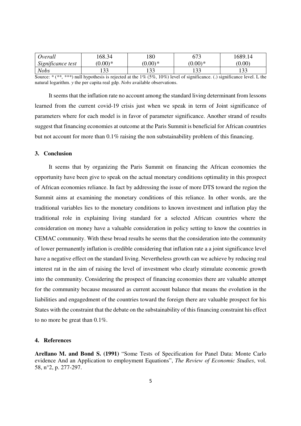| Overall           | 168.34    | 180       | 673          | 1689.14      |
|-------------------|-----------|-----------|--------------|--------------|
| Significance test | $(0.00)*$ | $(0.00)*$ | $(0.00)*$    | (0.00)       |
| <b>Nobs</b>       | 33        | 23        | 133<br>1 J J | 133<br>1 J J |

Source: *\** (*\*\**, *\*\*\**) null hypothesis is rejected at the 1*%* (5*%*, 10*%*) level of significance. (.) significance level. L the natural logarithm. *y* the per capita real gdp. *Nobs* available observations.

It seems that the inflation rate no account among the standard living determinant from lessons learned from the current covid-19 crisis just when we speak in term of Joint significance of parameters where for each model is in favor of parameter significance. Another strand of results suggest that financing economies at outcome at the Paris Summit is beneficial for African countries but not account for more than 0.1*%* raising the non substainability problem of this financing.

### **3. Conclusion**

It seems that by organizing the Paris Summit on financing the African economies the opportunity have been give to speak on the actual monetary conditions optimality in this prospect of African economies reliance. In fact by addressing the issue of more DTS toward the region the Summit aims at examining the monetary conditions of this reliance. In other words, are the traditional variables lies to the monetary conditions to known investment and inflation play the traditional role in explaining living standard for a selected African countries where the consideration on money have a valuable consideration in policy setting to know the countries in CEMAC community. With these broad results he seems that the consideration into the community of lower permanently inflation is credible considering that inflation rate a a joint significance level have a negative effect on the standard living. Nevertheless growth can we achieve by reducing real interest rat in the aim of raising the level of investment who clearly stimulate economic growth into the community. Considering the prospect of financing economies there are valuable attempt for the community because measured as current account balance that means the evolution in the liabilities and engagedment of the countries toward the foreign there are valuable prospect for his States with the constraint that the debate on the substainability of this financing constraint his effect to no more be great than 0.1*%*.

#### **4. References**

**Arellano M. and Bond S. (1991)** "Some Tests of Specification for Panel Data: Monte Carlo evidence And an Application to employment Equations", *The Review of Economic Studies*, vol. 58, n°2, p. 277-297.